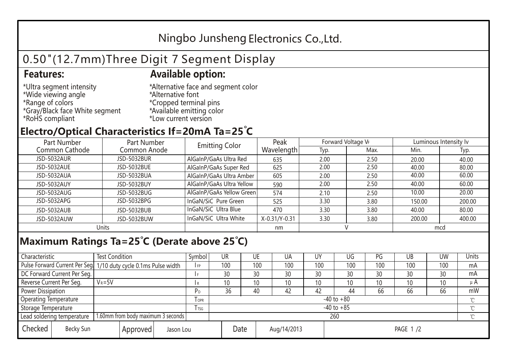## Ningbo Junsheng Electronics Co.,Ltd.

# 0.50"(12.7mm)Three Digit 7 Segment Display

### **Features: Available option:**

- \*Ultra segment intensity \*Wide viewing angle \*Range of colors \*Gray/Black face White segment \*RoHS compliant
- \*Alternative face and segment color \*Alternative font \*Cropped terminal pins \*Available emitting color \*Low current version

### **Electro/Optical Characteristics If=20mA Ta=25 C**

| Part Number<br>Part Number |              | <b>Emitting Color</b>     | Peak          | Forward Voltage VF |      | Luminous Intensity Iv |        |  |
|----------------------------|--------------|---------------------------|---------------|--------------------|------|-----------------------|--------|--|
| Common Cathode             | Common Anode |                           | Wavelength    | Typ.               | Max. | Min.                  | Typ.   |  |
| <b>JSD-5032AUR</b>         | JSD-5032BUR  | AlGaInP/GaAs Ultra Red    | 635           | 2.00               | 2.50 | 20.00                 | 40.00  |  |
| JSD-5032AUE                | JSD-5032BUE  | AlGaInP/GaAs Super Red    | 625           | 2.00               | 2.50 | 40.00                 | 80.00  |  |
| JSD-5032AUA                | JSD-5032BUA  | AlGaInP/GaAs Ultra Amber  | 605           | 2.00               | 2.50 | 40.00                 | 60.00  |  |
| JSD-5032AUY                | JSD-5032BUY  | AlGaInP/GaAs Ultra Yellow | 590           | 2.00               | 2.50 | 40.00                 | 60.00  |  |
| JSD-5032AUG                | JSD-5032BUG  | AlGaInP/GaAs Yellow Green | 574           | 2.10               | 2.50 | 10.00                 | 20.00  |  |
| JSD-5032APG                | JSD-5032BPG  | InGaN/SiC Pure Green      | 525           | 3.30               | 3.80 | 150.00                | 200.00 |  |
| JSD-5032AUB                | JSD-5032BUB  | InGaN/SiC Ultra Blue      | 470           | 3.30               | 3.80 | 40.00                 | 80.00  |  |
| JSD-5032AUW                | JSD-5032BUW  | InGaN/SiC Ultra White     | X-0.31/Y-0.31 | 3.30               | 3.80 | 200.00                | 400.00 |  |
| Units                      |              |                           | nm            |                    |      | mcd                   |        |  |

### **Maximum Ratings Ta=25°C (Derate above 25°C)**

| Characteristic                                                     |                   | <b>Test Condition</b> |              |                | Symbol | UR              |     | UE          | UA  | UY              | UG              | PG  | UB       | <b>UW</b> | Units   |
|--------------------------------------------------------------------|-------------------|-----------------------|--------------|----------------|--------|-----------------|-----|-------------|-----|-----------------|-----------------|-----|----------|-----------|---------|
| Pulse Forward Current Per Seg. 1/10 duty cycle 0.1ms Pulse width   |                   |                       | IFP          | 100            |        | 100             | 100 | 100         | 100 | 100             | 100             | 100 | mA       |           |         |
| DC Forward Current Per Seg.                                        |                   |                       |              |                | l F    | 30              |     | 30          | 30  | 30              | 30              | 30  | 30       | 30        | mA      |
| Reverse Current Per Seg.                                           |                   | $V_R = 5V$            |              |                | 1 R    | 10 <sup>1</sup> |     | 10          | 10  | 10              | 10 <sup>°</sup> | 10  | 10       | 10        | $\mu$ A |
|                                                                    | Power Dissipation |                       |              |                | PD     | 36              |     | 40          | 42  | 42              | 44              | 66  | 66       | 66        | mW      |
| <b>Operating Temperature</b>                                       |                   |                       | <b>I</b> OPR | $-40$ to $+80$ |        |                 |     |             |     |                 |                 |     |          |           |         |
| Storage Temperature                                                |                   |                       | I TSG        | $-40$ to $+85$ |        |                 |     |             |     |                 |                 |     | $\gamma$ |           |         |
| 1.60mm from body maximum 3 seconds  <br>Lead soldering temperature |                   |                       |              | 260            |        |                 |     |             |     |                 |                 |     |          |           |         |
| Checked                                                            | Becky Sun         | Approved<br>Jason Lou |              |                | Date   |                 |     | Aug/14/2013 |     | <b>PAGE 1/2</b> |                 |     |          |           |         |